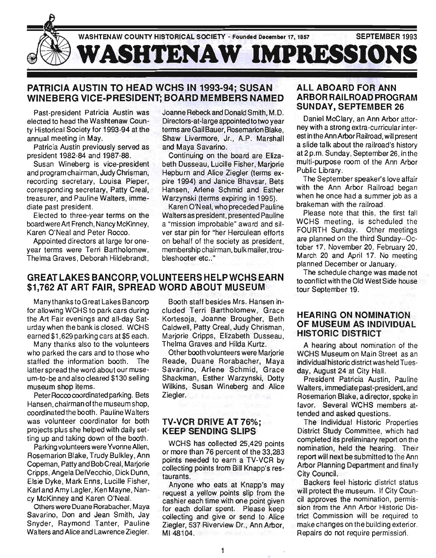

## PATRICIA AUSTIN TO HEAD WCHS IN 1993-94; SUSAN WINEBERG VICE-PRESIDENT; BOARD MEMBERS NAMED

Past-president Patricia Austin was elected to head the Washtenaw County Historical Society for 1993-94 at the annual meeting in May.

Patricia Austin previously served as president 1982-84 and 1987-88.

Susan Wineberg is vice-president and program chairman, Judy Chrisman, recording secretary, Louisa Pieper, corresponding secretary, Patty Creal, treasurer, and Pauline Walters, immediate past preSident.

Elected to three-year terms on the board were Art French, Nancy McKinney, Karen O'Neal and Peter Rocco.

Appointed directors at large for oneyear terms were Terri Bartholomew, Thelma Graves, Deborah Hildebrandt, Joanne Rebeck and Donald Smith, M.D. Directors-at-Iarge appointed to two year terms are Gail Bauer, Rosemarion Blake, Shaw Livermore, Jr., A.P. Marshall and Maya Savarino.

Continuing on the board are Elizabeth Dusseau, Lucille Fisher, Mariorie Hepburn and Alice Ziegler (terms expire 1994) and Janice Bhavsar, Bets Hansen, Arlene Schmid and Esther Warzynski (terms expiring in 1995).

Karen O'Neal, who preceded Pauline Walters as president, presented Pauline a "mission improbable" award and silver star pin for "her Herculean efforts on behalf of the society as president, membership chairman, bulk mailer, troubleshooter etc.."

## GREAT LAKES BANCORP, VOLUNTEERS HELP WCHS EARN \$1,762 AT ART FAIR, SPREAD WORD ABOUT MUSEUM

Many thanks to Great Lakes Bancorp for allowing WCHS to park cars during the Art Fair evenings and all-day Saturday when the bank is closed. WCHS earned \$1 ,629 parking cars at \$5 each.

Many thanks also to the volunteers who parked the cars and to those who staffed the information booth. The latter spread the word about our museum-to-be and also cleared \$130 selling museum shop items.

Peter Rocco coordinated parking. Bets Hansen, chairman ofthe museum shop, coordinated the booth. Pauline Walters was volunteer coordinator for both projects plus she helped with daily setting up and taking down of the booth.

Parking volunteers were Yvonne Allen, Rosemarion Blake, Trudy Bulkley, Ann Copeman, Patty and Bob Creal, Marjorie Cripps, Angela DelVecchio, Dick Dunn, Elsie Dyke, Mark Enns, Lucille Fisher, Karl and Amy Lagler, Ken Mayne, Nancy McKinney and Karen O'Neal.

Others were Duane Rorabacher, Maya Savarino, Don and Jean Smith, Jay Snyder, Raymond Tanter, Pauline Walters and Alice and Lawrence Ziegler.

Booth staff besides Mrs. Hansen included Terri Bartholomew, Grace Kortesoja, Joanne Brougher, Beth Caldwell, Patty Creal, Judy Chrisman, Marjorie Cripps, Elizabeth Dusseau, Thelma Graves and Hilda Kurtz.

Other booth volu nteers were Marjorie Reade, Duane Rorabacher, Maya Savarino, Arlene Schmid, Grace Shackman, Esther Warzynski, Dotty Wilkins, Susan Wineberg and Alice Ziegler.

#### TV-VCR DRIVE AT 76%; KEEP SENDING SLIPS

WCHS has collected 25,429 points or more than 76 percent of the 33,283 points needed to earn a TV-VCR by collecting points from Bill Knapp's restaurants.

Anyone who eats at Knapp's may request a yellow points slip from the cashier each time with one point given for each dollar spent. Please keep collecting and give or send to Alice Ziegler, 537 Riverview Dr., Ann Arbor, MI48104.

## ALL ABOARD FOR ANN ARBOR RAILROAD PROGRAM SUNDAY, SEPTEMBER 26

Daniel McClary, an Ann Arbor attorney with a strong extra-curricular interest in the Ann Arbor Railroad, will present a slide talk about the railroad's history at 2 p.m. Sunday, September 26, in the mUlti-purpose room of the Ann Arbor Public Library.

The September speaker's love affair with the Ann Arbor Railroad began when he once had a summer job as a brakeman with the railroad.

Please note that this, the first fall WCHS meeting, is scheduled the FOURTH Sunday. Other meetings are planned on the third Sunday--October 17, November 20, February 20, March 20 and April 17. No meeting planned December or January .

The schedule change was made not to conflict with the Old West Side house tour September 19.

## HEARING ON NOMINATION OF MUSEUM AS INDIVIDUAL HISTORIC DISTRICT

A hearing about nomination of the WCHS Museum on Main Street as an individual historic district was held Tuesday, August 24 at City Hall.

President Patricia Austin, Pauline Walters, immediate past-president, and Rosemarion Blake, a director, spoke in favor. Several WCHS members attended and asked questions.

The Individual Historic Properties District Study Committee, which had completed its preliminary report on the nomination, held the hearing. Their report will next be submitted to the Ann Arbor Planning Department and finally City Council.

Backers feel historic district status will protect the museum. If City Council approves the nomination, permission from the Ann Arbor Historic District Commission will be required to make changes on the building exterior. Repairs do not require permission.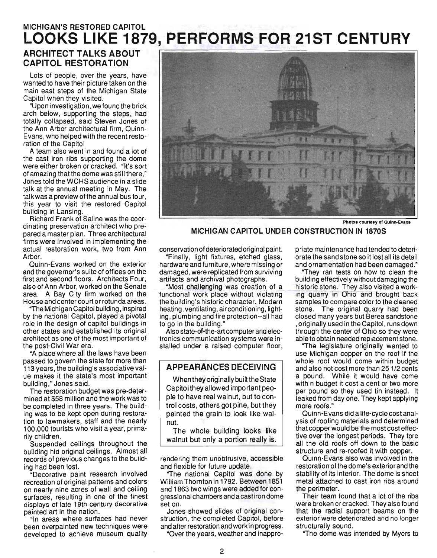## **MICHIGAN'S RESTORED CAPITOL LOOKS LIKE 1879, PERFORMS FOR 21ST CENTURY**

## ARCHITECT TALKS ABOUT **CAPITOL RESTORATION**

Lots of people, over the years, have wanted to have their picture taken on the main east steps of the Michigan State Capitol when they visited.

"Upon investigation, we found the brick arch below, supporting the steps, had totally collapsed, said Steven Jones of the Ann Arbor architectural firm, Quinn-Evans, who helped with the recent restoration of the Capitol

A team also went in and found a lot of the cast iron ribs supporting the dome were either broken or cracked. "It's sort of amazing that the dome was still there." Jones told the WCHS audience in a slide talk at the annual meeting in May. The talkwas a preview of the annual bus tour, this year to visit the restored Capitol building in Lansing.

Richard Frank of Saline was the coordinating preservation architect who prepared a master plan. Three architectural firms were involved in implementing the actual restoration work, two from Ann Arbor.

Quinn-Evans worked on the exterior and the governor's suite of offices on the first and second floors. Architects Four, also of Ann Arbor, worked on the Senate area. A Bay City firm worked on the House and center court or rotunda areas.

"The Michigan Capitol building, inspired by the national Capitol, played a pivotal role in the design of capitol buildings in other states and established its original architect as one of the most important of the post-Civil War era.

"A place where all the laws have been passed to govern the state for more than 113 years, the building's associative value makes it the state's most important building," Jones said.

The restoration budget was pre-determined at \$58 million and the work was to be completed in three years. The building was to be kept open during restoration to lawmakers, staff and the nearly 100,000 tourists who visit a year, primarily children.

Suspended ceilings throughout the building hid original ceilings. Almost all records of previous changes to the building had been lost.

"Decorative paint research involved recreation of original patterns and colors on nearly nine acres of wall and ceiling surfaces, resulting in one of the finest displays of late 19th century decorative painted art in the nation.

"In areas where surfaces had never been overpainted new techniques were developed to achieve museum quality



Photos courtesy of Quinn-Evans

**MICHIGAN CAPITOL UNDER CONSTRUCTION IN 1870S** 

conservation of deteriorated original paint.

"Finally, light fixtures, etched glass, hardware and furniture, where missing or damaged, were replicated from surviving artifacts and archival photographs.

"Most challenging was creation of a functional work place without violating the building's historic character. Modern heating, ventilating, air conditioning, lighting, plumbing and fire protection--all had to go in the building.'

Also state-of-the-art computer and electronics communication systems were installed under a raised computer floor,

## **APPEARANCES DECEIVING**

When they originally built the State Capitol they allowed important people to have real walnut, but to control costs, others got pine, but they painted the grain to look like walnut.

The whole building looks like walnut but only a portion really is.

rendering them unobtrusive, accessible and flexible for future update.

"The national Capitol was done by William Thornton in 1792. Between 1851 and 1863 two wings were added for congressional chambers and a cast iron dome set on.

Jones showed slides of original construction, the completed Capitol, before and after restoration and work in progress. "Over the years, weather and inappro-

priate maintenance had tended to deteriorate the sand stone so it lost all its detail and ornamentation had been damaged."

"They ran tests on how to clean the building effectively without damaging the historic stone. They also visited a work ing quarry in Ohio and brought back samples to compare color to the cleaned stone. The original quarry had been closed many years but Berea sandstone ,originally used in the Capitol, runs down through the center of Ohio so they were able to obtain needed replacement stone.

"The legislature originally wanted to use Michigan copper on the roof if the whole roof would come within budget and also not cost more than 25 1/2 cents a pound. While it would have come within budget it cost a cent or two more per pound so they used tin instead. It leaked from day one. They kept applying more roofs."

Quinn-Evans did a life-cycle cost analysis of roofing materials and determined that copper would be the most cost effective over the longest periods. They tore all the old roofs off down to the basic structure and re-roofed it with copper.

Quinn-Evans also was involved in the restoration of the dome's exterior and the stability of its interior. The dome is sheet metal attached to cast iron ribs around the perimeter.

Their team found that a lot of the ribs were broken or cracked. They also found that the radial support beams on the exterior were deteriorated and no longer structurally sound.

"The dome was intended by Myers to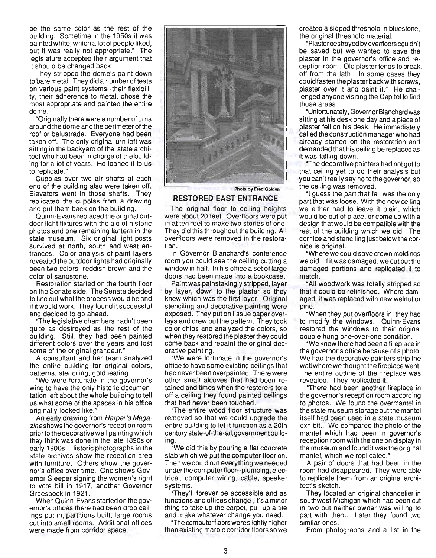be the same color as the rest of the building. Sometime in the 1950s it was painted white, which a lot of people liked, but it was really not appropriate." The legislature accepted their argument that it should be changed back.

They stripped the dome's paint down to bare metal. They did a number of tests on various paint systems--their flexibility, their adherence to metal, chose the most appropriate and painted the entire dome.

"Originally there were a number of urns around the dome and the perimeter of the roof or balustrade. Everyone had been taken off. The only original urn left was sitting in the backyard of the state architect who had been in charge of the building for a lot of years. He loaned it to us to replicate."

Cupolas over two air shafts at each end of the building also were taken off. Elevators went in those shafts. They replicated the cupolas from a drawing and put them back on the building.

Quinn-Evans replaced the original outdoor light fixtures with the aid of historic photos and one remaining lantern in the state museum. Six original light posts survived at north, south and west entrances. Color analysis of paint layers revealed the outdoor lights had originally been two colors--reddish brown and the color of sandstone.

Restoration started on the fourth floor on the Senate side. The Senate decided to find outwhatthe process would be and if it would work. They found it successful and decided to go ahead.

"The legislative chambers hadn't been quite as destroyed as the rest of the building. Still, they had been painted different colors over the years and lost some of the original grandeur."

A consultant and her team analyzed the entire building for original colors, patterns, stenciling, gold leafing.

"We were fortunate in the governor's wing to have the only historic documentation left about the whole building to tell us what some of the spaces in his office originally looked like."

An early drawing from Harper's Magazineshows the governor's reception room prior to the decorative wall painting which they think was done in the late 1890s or early 1900s. Historic photographs in the state archives show the reception area with furniture. Others show the governor's office over time. One shows Governor Sleeper signing the women's right to vote bill in 1917, another Governor Groesbeck in 1921.

When Quinn-Evans started on the governor's offices there had been drop ceilings put in, partitions built, large rooms cut into small rooms. Additional offices were made from corridor space.



#### RESTORED EAST ENTRANCE

The original floor to ceiling heights were about 20 feet. Overfloors were put in at ten feet to make two stories of one. They did this throughout the building. All overfloors were removed in the restoration.

In Governor Blanchard's conference room you could see the ceiling cutting a window in half. In his office a set of large doors had been made into a bookcase.

Paintwas painstakingly stripped, layer by layer, down to the plaster so they knew which was the first layer. Original stenciling and decorative painting were exposed. They put on tissue paper overlays and drew out the pattern. They took color chips and analyzed the colors, so when they restored the plaster they could come back and repaint the original decorative painting.

"We were fortunate in the governor's office to have some existing ceilings that had never been overpainted. There were other small alcoves that had been retained and times when the restorers tore off a ceiling they found painted ceilings that had never been touched.

"The entire wood floor structure was removed so that we could upgrade the entire building to let it function as a 20th century state-of-the-art government building.

"We did this by pouring a flat concrete slab which we put the computer floor on. Then wecould run everything we needed under the computerfloor--plumbing, electrical, computer wiring, cable, speaker systems.

"They'll forever be accessible and as functions and offices change, it's a minor thing to take up the carpet, pull up a tile and make whatever change you need.

"The computer floors were slightly hig her than existing marble corridor floors so we created a sloped threshold in bluestone, the original threshold material.

"Plaster destroyed by overfloors couldn't be saved but we wanted to save the plaster in the governor's office and reception room. Old plaster tends to break. off from the lath. In some cases they could fasten the plaster back with screws, plaster over it and paint it." He challenged anyone visiting the Capitol to find those areas.

"Unfortunately, Governor Blanchard was sitting at his desk one day and a piece of plaster fell on his desk. He immediately called the construction manager who had already started on the restoration and demanded that his ceiling be replaced as it was falling down.

"The decorative painters had not got to that ceiling yet to do their analysis but you can't really say noto the governor, so the ceiling was removed.

"I guess the part that fell was the only part that was loose. With the new ceiling we either had to leave it plain, which would be out of place, or come up with a design that would be compatible with the rest of the building which we did. The cornice and stenciling just below the cornice is original.

"Where we could save crown moldings we did. If it was damaged, we cut out the damaged portions and replicated it to match.

"All woodwork was totally stripped so that it could be refinished. Where damaged, it was replaced with new walnut or pine.

"When they put overfloors in, they had to modify the windows. Quinn-Evans restored the windows to their original double hung one-over-one condition.

"We knew there had been a fireplace in the governor's office because of a photo. We had the decorative painters strip the wall where we thought the fireplace went. The entire outline of the fireplace was revealed. They replicated it.

"There had been another fireplace in the governor's reception room according to photos. We found the overmantel in the state museum storage but the mantel itself had been used in a state museum exhibit.. We compared the photo of the mantel which had been in governor's reception room with the one on display in the museum and found it was the original mantel, which we replicated."

A pair of doors that had been in the room had disappeared. They were able to replicate them from an original architect's sketch.

They located an original chandelier in southwest Michigan which had been cut in two but neither owner was willing to part with them. Later they found two similar ones.

From photographs and a list in the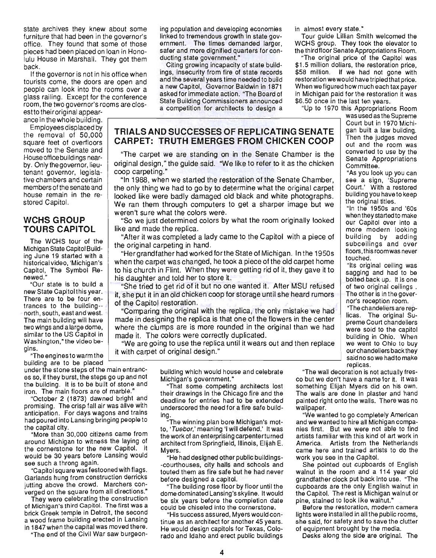state archives they knew about some furniture that had been in the governor's office. They found that some of those pieces had been placed on loan in Honolulu House in Marshall. They got them back.

If the governor is not in his office when tourists come, the doors are open and people can look into the rooms over a glass railing. Except for the conference room, the two governor's rooms are closestto their original appear-

ance in thewhole building.

Employees displaced by the removal of 50,000 square feet of overfloors moved to the Senate and House office buildings nearby. Only the governor, lieutenant governor, legislative chambers and certain members of the senate and house remain in the restored Capitol.

#### **WCHS GROUP TOURS CAPITOL**

The WCHS tour of the Michigan State Capitol Building June 19 started with a historical video, 'Michigan's Capitol, The Symbol Renewed."

"Our state is to build a new State Capitol this year. There are to be four entrances to the building- north, south, east and west. The main building will have two wings and a large dome, similar to the US Capitol in Washington,"the video begins.

"The engines to warm the building are to be placed

under the stone steps of the main entrances so, if they burst, the steps go up and not the building. It is to be built of stone and iron. The main floors are of marble."

"October 2 (1873) dawned bright and promising. The crisp fall air was alive with anticipation. For days wagons and trains had poured into Lansing bringing people to the capital city.

"More than 30,000 citizens came from around Michigan to witness the laying of the cornerstone for the new Capitol. It would be 30 years before Lansing would see such a throng again.

"Capitol square was festooned with flags. Garlands hung from construction derricks jutting above the crowd. Marchers converged on the square from all directions."

They were celebrating the construction of Michigan'S third Capitol. The first was a brick Greek temple in Detroit, the second a wood frame building erected in Lansing in 1847 when the capital was moved there.

"The end of the Civil War saw burgeon-

ing population and developing economies linked to tremendous growth in state government. The times demanded larger, safer and more dignified quarters for conducting state government."

Citing growing incapacity of state buildings, insecurity from fire of state records and the several years time needed to build a new Capitol, Governor Baldwin in 1871 asked for immediate action. "The Board of State Building Commissioners announced a competition for architects to design a

## **TRIALS AND SUCCESSES OF REPLICATING SENATE CARPET: TRUTH EMERGES FROM CHICKEN COOP**

"The carpet we are standing on in the Senate Chamber is the original design," the guide said. "We like to refer to it as the chicken coop carpeting."

"In 1988, when we started the restoration of the Senate Chamber, the only thing we had to go by to determine what the original carpet looked like were badly damaged old black and white photographs . We ran them through computers to get a sharper image but we weren't sure what the colors were.

"So we just determined colors by what the room originally looked like and made the replica.

"After it was completed a lady came to the Capitol with a piece of the original carpeting in hand.

"Her grandfather had worked forthe State of Michigan. In the 1950s when the carpet was changed, he took a piece of the old carpet home to his church in Flint. When they were getting rid of it, they gave it to his daughter and told her to store it.

"She tried to get rid of it but no one wanted it. After MSU refused it, she put it in an old chicken coop for storage until she heard rumors of the Capitol restoration.

"Comparing the original with the replica, the only mistake we had made in designing the replica is that one of the flowers in the center where the clumps are is more rounded in the original than we had made it. The colors were correctly duplicated.

"We are going to use the replica until it wears out and then replace it with carpet of original design."

> building which would house and celebrate Michigan's government."

> "That some competing architects lost their drawings in the Chicago fire and the deadline for entries had to be extended underscored the need for a fire safe building.

> "The winning plan bore Michigan's motto, 'Tuebor,' meaning 'I will defend.' It was the work of an enterprising carpenterturned architect from Springfield, Illinois, Elijah E. Myers.

> "He had designed other public buildings- -courthouses, city halls and schools and touted them as fire safe but he had never before designed a capitol.

> "The building rose· floor by floor until the dome dominated Lansing's skyline. It would be six years before the completion date could be chiseled into the cornerstone.

> "His success assured, Myers would continue as an architect for another 45 years. He would design capitols for Texas, Colorado and Idaho and erect public buildings

in almost every state."

Tour guide Lillian Smith welcomed the WCHS group. They took the elevator to the third floor Senate Appropriations Room.

"The original price of the Capitol was \$1.5 million dollars, the restoration price, \$58 million. If we had not gone with restoration we would have tripled that price. When wefigured how much each tax payer in Michigan paid for the restoration it was \$6.50 once in the last ten years.

"Up to 1970 this Appropriations Room

was used as the Supreme Court but in 1970 Michigan built a law building. Then the judges moved out and the room was converted to use by the Senate Appropriations Committee.

"As you look up you can see a sign, 'Supreme Court.' With a restored building you have to keep the original titles.

"In the 1950s and '60s when they started to make our Capitol over into a more modern looking building by adding subceilings and over floors, this room was never touched.

"Its original ceiling was sagging and had to be bolted back up. It is one of two original ceilings. The other is in the governor's reception room.

"The ch andeliers are replicas. The original Supreme Court chandeliers were sold to the capitol building in Ohio. When we went to Ohio to buy our chandeliers back they said no so we had to make replicas.

"The wall decoration is not actually fresco but we don't have a name for it. It was something Elijah Myers did on his own. The walls are done in plaster and hand painted right onto the walls. There was no wallpaper.

"We wanted to go completely American and we wanted to hire all Michigan companies first. But we were not able to find artists familiar with this kind of art work in America. Artists from the Netherlands came here and trained artists to do the work you see in the Capitol.

She pointed out cupboards of English walnut in the room and a 114 year old grandfather clock put back into use. "The cupboards are the only English walnut in the Capitol. The rest is Michigan walnut or pine, stained to look like walhut."

Before the restoration, modern camera lights were installed in all the public rooms, she said, for safety and to save the clutter of equipment brought by the media.

Desks along the side are original. The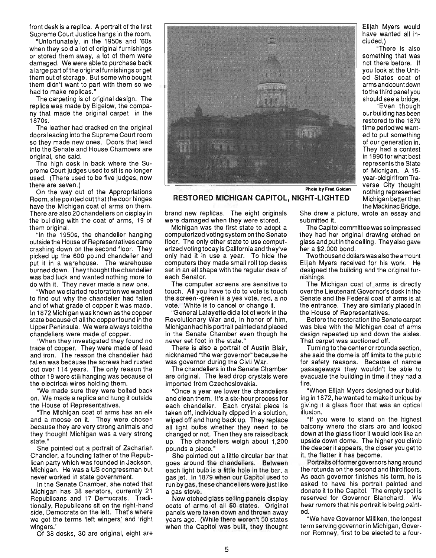front desk is a replica. A portrait of the first Supreme Court Justice hangs in the room.

"Unfortunately, in the 1950s and '60s when they sold a lot of original furnishings or stored them away, a lot of them were damaged. We were able to purchase back a large part of the original furnishings or get them out of storage. But some who bought them didn't want to part with them so we had to make replicas."

The carpeting is of original design. The replica was made by Bigelow, the company that made the original carpet in the 1870s.

The leather had cracked on the original doors leading into the Supreme Court room so they made new ones. Doors that lead into the Senate and House Chambers are original, she said.

The high desk in back where the Supreme Court judges used to sit is no longer used. (There used to be five judges, now there are seven.)

On the way out of the Appropriations Room, she pointed out that the door hinges have the Michigan coat of arms on them. There are also 20 chandeliers on display in the building with the coat of arms, 19 of them original.

"In the 1950s, the chandelier hanging outside the House of Representatives came crashing down on the second floor. They picked up the 600 pound chandelier and put it in a warehouse. The warehouse burned down. They thought the chandelier was bad luck and wanted nothing more to do with it. They never made a new one.

"When we started restoration we wanted to find out why the chandelier had fallen and of what grade of copper it was made. In 1872 Michigan was known as the copper state because of all the copper found in the Upper Peninsula. We were always told the chandeliers were made of copper.

"When they investigated they found no trace of copper. They were made of lead and iron. The reason the chandelier had fallen was because the screws had rusted out over 114 years. The only reason the other 19 were still hanging was because of the electrical wires holding them.

"We made sure they were bolted back on. We made a replica and hung it outside the House of Representatives.

"The Michigan coat of arms has an elk and a moose on it. They were chosen because they are very strong animals and they thought Michigan was a very strong state."

She pointed out a portrait of Zachariah Chandler, a founding father of the Republican party which was founded in Jackson, Michigan. He was a US congressman but never worked in state government.

In the Senate Chamber, she noted that Michigan has 38 senators, currently 21 Republicans and 17 Democrats. Traditionally. Republicans sit on the right-hand side, Democrats on the left. That's where we get the terms 'left wingers' and 'right wingers.'

Of 38 desks, 30 are original, eight are



RESTORED MICHIGAN CAPITOL, NIGHT-LIGHTED Michigan better than

brand new replicas. The eight originals were damaged when they were stored.

Michigan was the first state to adopt a computerized voting system on the Senate floor. The only other state to use computerized voting today is California and they've only had it in use a year. To hide the computers they made small roll top desks set in an ell shape with the regular desk of each Senator.

The computer screens are sensitive to touch. All you have to do to vote is touch the screen --green is a yes vote, red, a no vote. White is to cancel or change it.

"General Lafayette did a lot of work in the Revolutionary War and, in honor of him, Michigan had his portrait painted and placed in the Senate Chamber even though he never set foot in the state."

There is also a portrait of Austin Blair, nicknamed "the war governor" because he was governor during the Civil War.

The chandeliers in the Senate Chamber are original. The lead drop crystals were imported from Czechoslovakia.

"Once a year we lower the chandeliers and clean them. It's a six-hour process for each chandelier. Each crystal piece is taken off, individually dipped in a solution, wiped off and hung back up. They replace all light bulbs whether they need to be changed or not. Then they are raised back up. The chandeliers weigh about 1,200 pounds a piece."

She pointed out a little circular bar that goes around the chandeliers. Between each light bulb is a little hole in the bar, a gas jet. In 1879 when our Capitol used to run by gas, these chandeliers were just like a gas stove.

New etched glass ceiling panels display coats of arms of all 50 states. Original panels were taken down and thrown away years ago. (While there weren't 50 states when the Capitol was built, they thought Elijah Myers would have wanted all included.)

"There is also something that was not there before. If you look at the United States coat of arms andcountdown to the third panel you should see a bridge.

"Even though our building has been restored to the 1879 time period we wanted to put something of our generation in. They had a contest in 1990 for what best represents the State of Michigan. A 15 year-old girl from Traverse City thought Photo by Fred Golden nothing represented the Mackinac Bridge.

She drew a picture, wrote an essay and submitted it.

The Capitol committee was so impressed they had her Original drawing etched on glass and put in the ceiling. They also gave her a \$2,000 bond.

Two thousand dollars was also the amount Elijah Myers received for his work. He designed the building and the original furnishings.

The Michigan coat of arms is directly overthe Lieutenant Governor's desk in the Senate and the Federal coat of arms is at the entrance. They are similarly placed in the House of Representatives.

Before the restoration the Senate carpet was blue with the Michigan coat of arms design repeated up and down the aisles. That carpet was auctioned off.

Turning to the center or rotunda section, she said the dome is off limits to the public for safety reasons. Because of narrow passageways they wouldn't be able to evacuate the building in time if they had a fire.

"When Elijah Myers designed our building in 1872, he wanted to make it unique by giving it a glass floor that was an optical illusion.

"If you were to stand on the highest balcony where the stars are and looked down at the glass floor it would look like an upside down dome. The higher you climb the deeper it appears, the closer you get to it, the flatter it has become.

Portraits offormergovernors hang around the rotunda on the second and third floors. As each governor finishes his term, he is asked to have his portrait painted and donate it to the Capitol. The empty spot is reserved for Governor Blanchard. We hear rumors that his portrait is being painted.

"We have Governor Milliken, the longest term serving governor in Michigan, Gpvernor Romney, first to be elected to a four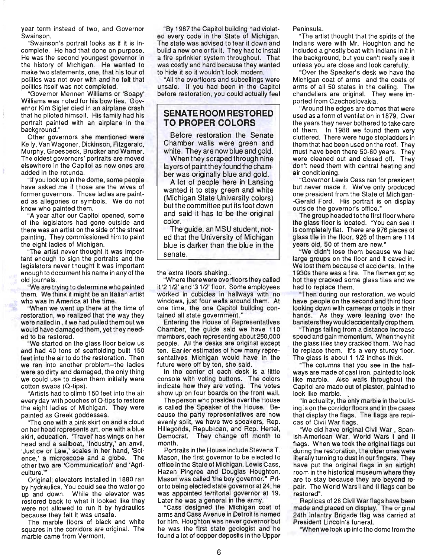year term instead of two, and Governor Swainson.

"Swainson's portrait looks as if it is incomplete. He had that done on purpose. He was the second youngest governor in the history of Michigan. He wanted to make two statements, one, that his tour of politics was not over with and he felt that politics itself was not completed.

"Governor Mennen Williams or 'Soapy' Williams was noted for his bow ties. Governor Kim Sigler died in an airplane crash that he piloted himself. His family had his portrait painted with an airplane in the background."

Other governors she mentioned were Kelly, Van Wagoner, Dickinson, Fitzgerald, Murphy, Groesbeck, Brucker and Warner. The oldest governors' portraits are moved elsewhere in the Capitol as new ones are added in the rotunda.

"If you look up in the dome, some people have asked me if those are the wives of former governors. Those ladies are painted as allegories or symbols. We do not know who painted them.

"A year after our Capitol opened, some of the legislators had gone outside and there was an artist on the side of the street painting. They commissioned him to paint the eight ladies of Michigan.

"The artist never thought it was important enough to sign the portraits and the legislators never thought it was important enough to document his name in any of the old journals.

"We are trying to determine who painted them. We think it might be an Italian artist who was in America at the time.

"When we went up there at the time of restoration, we realized that the way they were nailed in , if we had pulled them out we would have damaged them, yet they needed to be restored.

"We started on the glass floor below us and had 40 tons of scaffolding built 150 feet into the air to do the restoration. Then we ran into another problem--the ladies were so dirty and damaged, the only thing we could use to clean them initially were cotton swabs (Q-tips).

"Artists had to climb 150 feet into the air every day with pouches of Q-tips to restore the eight ladies of Michigan. They were painted as Greek goddesses.

"The one with a pink skirt on and a cloud on her head represents art, one with a blue skirt, education. 'Travel' has wings on her head and a sailboat, 'Industry,' an anvil, 'Justice or Law,' scales in her hand, 'Science,' a microscope and a globe. The other two are 'Communication' and 'Agriculture.'

Original; elevators installed in 1880 ran by hydraulics. You could see the water go up and down. While the elevator was restored back to what it looked like they were not allowed to run it by hydraulics because they felt It was unsafe.

The marble floors of black and white squares in the corridors are original. The marble came from Vermont.

"By 1987 the Capitol building had violated every code in the State of Michigan. The state was advised to tear it down and build a new one or fix it. They had to install a fire sprinkler system throughout. That was costly and hard because they wanted to hide it so it wouldn't look modern.

"All the overfloors and subceilings were unsafe. If you had been in the Capitol before restoration, you could actually feel

#### **SENATE ROOM RESTORED TO PROPER COLORS**

Before restoration the Senate Chamber walls were green and white. They are now blue and gold.

When they scraped through nine layers of paint they found the chamber was originally blue and gold.

A lot of people here in Lansing wanted it to stay green and white (Michigan State University colors) but the committee put its foot down and said it has to be the original color.

The guide, an MSU student, noted that the University of Michigan blue is darker than the blue in the senate.

the extra floors shaking...

"Where there were overfloors they called it '21/2' and '31/2' floor. Some employees worked in cubicles in hallways with no windows, just four walls around them. At one time, the one Capitol building contained all state government."

Entering the House of Representatives Chamber, the guide said we have 110 members, each representing about 250,000 people. All the desks are original except ten. Earlier estimates of how many representatives Michigan would have in the future were off by ten, she said.

In the center of each desk is a little console with voting buttons. The colors indicate how they are voting. The votes show up on four boards on the front wall.

The person who presides overthe House is called the Speaker of the House. Because the party representatives are now evenly split, we have two speakers, Rep. Hillegonds, Republican, and Rep. Hertel, Democrat. They change off month to month.

Portraits in the House include Stevens T. Mason, the first governor to be elected to office in the State of Michigan, Lewis Cass, Hazen Pingree and Douglas Houghton. Mason was called 'the boy governor." Priorto being elected state governor at 24, he was appointed territorial governor at 19. Later he was a general in the army.

"Cass designed the Michigan coat of arms and Cass Avenue in Detroit is named for him. Houghton was never governor but he was the first state geologist and he found a lot of copper deposits in the Upper Peninsula.

"The artist thought that the spirits of the Indians were with Mr. Houghton and he included a ghostly boat with Indians in it in the background, but you can't really see it unless you are close and look carefully.

"Over the Speaker's desk we have the Michigan coat of arms and the coats of arms of all 50 states in the ceiling. The chandeliers are original. They were imported from Czechoslovakia.

"Around the edges are domes that were used as a form of ventilation in 1879. Over the years they never bothered to take care of them. In 1988 we found them very cluttered. There were huge stepladders in them that had been used on the roof. They must have been there 50-60 years. They were cleaned out and closed off. They don't need them with central heating and air conditioning.

"Governor Lewis Cass ran for president but never made it. We've only produced one president from the State of Michigan- -Gerald Ford. His portrait is on display outside the governor's office."

The group headed to the first floor where the glass floor is located. "You can see it is completely flat. There are 976 pieces of glass tile in the floor, 926 of them are 114 years old, 50 of them are new."

"We didn't lose them because we had large groups on the floor and it caved in. We lost them because of accidents. In the 1930s there was a fire. The flames got so hot they cracked some glass tiles and we had to replace them.

"Then during our restoration, we would have people on the second and third floor looking down with cameras ortools in their hands. As they were leaning over the banisters they would accidentally drop them.

"Things falling from a distance increase speed and gain momentum. When they hit the glass tiles they cracked them. We had to replace them. It's a very sturdy floor. The glass is about 1 1/2 inches thick.

"The columns that you see in the hallways are made of cast iron, painted to look like marble. Also walls throughout the Capitol are made out of plaster, painted to look like marble. .

"In actuality, the only marble in the building is on the corridor floors and in the cases that display the flags. The flags are replicas of Civil War flags.

"We did have original Civil War, Spanish-American War, World Wars I and II flags. When we took the original flags out during the restoration, the older ones were literally turning to dust in our fingers. They have put the original flags in an airtight room in the historical museum where they are to stay because they are beyond repair. The World Wars I and II flags can be restored".

Replicas of 26 Civil War flags have been made and placed on display. The original 24th Infantry Brigade flag was carried at President Lincoln's funeral.

"When we look up intothe dome from the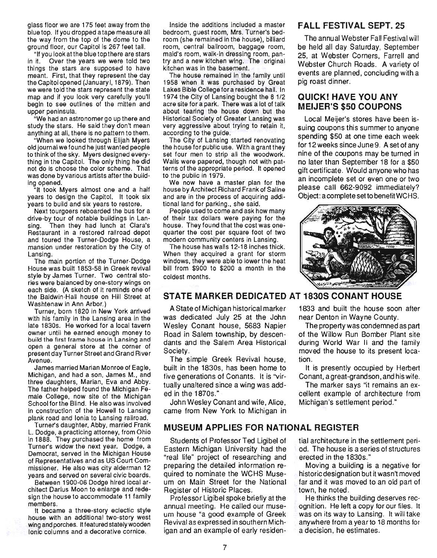glass floor we are 175 feet away from the blue top. If you dropped a tape measure all the way from the top of the dome to the ground floor, our Capitol is 267 feet tall.

"If you look at the blue top there are stars in it. Over the years we were told two things the stars are supposed to have meant. First, that they represent the day the Capitol opened (January I, 1879). Then we were told the stars represent the state map and if you look very carefully you'll begin to see outlines of the mitten and upper peninsula.

"We had an astronomer go up there and study the stars. He said they don't mean anything at all, there is no pattern to them.

"When we looked through Elijah Myers old journal we found he just wanted people to think of the sky. Myers designed everything in the Capitol. The only thing he did not do is choose the color scheme. That was done by various artists after the building opened.

"It took Myers almost one and a half years to design the Capitol. It took six years to build and six years to restore.

Next tourgoers reboarded the bus for a drive-by tour of notable buildings in Lansing. Then they had lunch at Clara's Restaurant in a restored railroad depot and toured the Turner-Dodge House, a mansion under restoration by the City of Lansing.

The main portion of the Turner-Dodge House was built 1853-58 in Greek revival style by James Turner. Two central stories were balanced by one-story wings on each side. (A sketch of it reminds one of the Baldwin-Hall house on Hill Street at Washtenaw in Ann Arbor.)

Turner, born 1820 in New York arrived with his family in the Lansing area in the late 1830s. He worked for a local tavern owner until he earned enough money to build the first frame house in Lansing and open a general store at the corner of present day Turner Street and Grand River Avenue.

James married Marian Monroe of Eagle, Michigan, and had a son, James M., and three daughters, Marian, Eva and Abby. The father helped found the Michigan Female College, now site of the Michigan School for the Blind. He also was involved in construction of the Howell to Lansing plank road and Ionia to Lansing railroad.

Turner's daughter, Abby, married Frank L. Dodge, a practicing attorney, from Ohio in 1888. They purchased the home from Turner's widow the next year. Dodge, a Democrat, served in the Michigan House of Representatives and as US Court Commissioner. He also was city alderman 12 years and served on several civic boards.

Between 1900-06 Dodge hired local architect Darius Moon to enlarge and redesign the house to accommodate 11 family members.<br>It became a three-story eclectic style

house with an additional two-story west wing and porches. It featured stately wooden Ionic columns and a decorative cornice.

Inside the additions included a master bedroom, guest room, Mrs. Turner's bedroom (she remained in the house), billiard room, central ballroom, baggage room, maid's room, walk-in dressing room, pantry and a new kitchen wing. The original kitchen was in the basement.

The house remained in the family until 1958 when it was purchased by Great Lakes Bible College for a residence hall. In 1974 the City of Lansing bought the 8 1/2 acre site for a park. There was a lot of talk about tearing the house down but the Historical Society of Greater Lansing was very aggressive about trying to retain it, according to the guide.

The City of Lansing started renovating the house for public use. With a grant they set four men to strip all the woodwork. Walls were papered, though not with patterns of the appropriate period. It opened to the public in 1979.

We now have a master plan for the house by Architect Richard Frank of Saline and are in the process of acquiring additional land for parking., she said.

People used to come and ask how many of their tax dollars were paying for the house. They found that the cost was onequarter the cost per square foot of two modern community centers in Lansing.

The house has walls 12-18 inches thick. When they acquired a grant for storm windows, they were able to lower the heat bill from \$900 to \$200 a month in the coldest months.

## **FALL FESTIVAL SEPT. 25**

The annual Webster Fall Festival will be held all day Saturday, September 25, at Webster Corners, Farrell and Webster Church Roads. A variety of events are planned, concluding with a pig roast dinner.

## **QUICK! HAVE YOU ANY MEIJER'S \$50 COUPONS**

Local Meijer's stores have been issuing coupons this summer to anyone spending \$50 at one time each week for 12 weeks since June 9. A set of any nine of the coupons may be turned in no later than September 18 for a \$50 gift certificate. Would anyone who has an incomplete set or even one or two please call 662-9092 immediately? Object: a complete set to benefit WCHS.



## **STATE MARKER DEDICATED AT 1830S CONANT HOUSE**

A State of Michigan historical marker was dedicated July 25 at the John Wesley Conant house, 5683 Napier Road in Salem township, by descendants and the Salem Area Historical Society.

The simple Greek Revival house, built in the 1830s, has been home to five generations of Conants. It is "virtually unaltered since a wing was added in the 1870s."

John Wesley Conant and wife, Alice, came from New York to Michigan in

#### **MUSEUM APPLIES FOR NATIONAL REGISTER**

Students of Professor Ted Ligibel of Eastern Michigan University had the "real life" project of researching and preparing the detailed information required to nominate the WCHS Museum on Main Street for the National Register of Historic Places.

Professor Ligibel spoke briefly at the annual meeting. He called our museum house "a good example of Greek Revival as expressed in southern Michigan and an example of early residen-

1833 and built the house soon after near Denton in Wayne County.

The property was condemned as part of the Willow Run Bomber Plant site during World War II and the family moved the house to its present location.

It is presently occupied by Herbert Conant, a great-grandson, and his wife.

The marker says "it remains an excellent example of architecture from Michigan's settlement period."

tial architecture in the settlement period. The house is a series of structures erected in the 1830s."

Moving a building is a negative for historic designation but it wasn't moved far and it was moved to an old part of town, he noted.

He thinks the building deserves recognition. He left a copy for our files. It was on its way to Lansing. It will take anywhere from a yearto 18 months for a decision, he estimates.